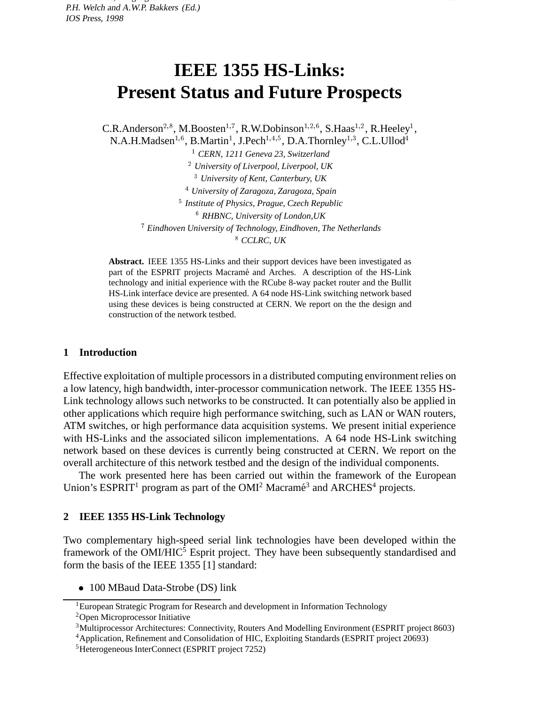# **IEEE 1355 HS-Links: Present Status and Future Prospects**

C.R.Anderson<sup>2,8</sup>, M.Boosten<sup>1,7</sup>, R.W.Dobinson<sup>1,2,6</sup>, S.Haas<sup>1,2</sup>, R.Heeley<sup>1</sup>, N.A.H.Madsen $^{1,6}$ , B.Martin $^1$ , J.Pech $^{1,4,5}$ , D.A.Thornley $^{1,3}$ , C.L.Ullod $^4$ 

 *CERN, 1211 Geneva 23, Switzerland University of Liverpool, Liverpool, UK University of Kent, Canterbury, UK University of Zaragoza, Zaragoza, Spain Institute of Physics, Prague, Czech Republic RHBNC, University of London,UK Eindhoven University of Technology, Eindhoven, The Netherlands CCLRC, UK*

**Abstract.** IEEE 1355 HS-Links and their support devices have been investigated as part of the ESPRIT projects Macramé and Arches. A description of the HS-Link technology and initial experience with the RCube 8-way packet router and the Bullit HS-Link interface device are presented. A 64 node HS-Link switching network based using these devices is being constructed at CERN. We report on the the design and construction of the network testbed.

#### **1 Introduction**

Effective exploitation of multiple processors in a distributed computing environment relies on a low latency, high bandwidth, inter-processor communication network. The IEEE 1355 HS-Link technology allows such networks to be constructed. It can potentially also be applied in other applications which require high performance switching, such as LAN or WAN routers, ATM switches, or high performance data acquisition systems. We present initial experience with HS-Links and the associated silicon implementations. A 64 node HS-Link switching network based on these devices is currently being constructed at CERN. We report on the overall architecture of this network testbed and the design of the individual components.

The work presented here has been carried out within the framework of the European Union's ESPRIT<sup>1</sup> program as part of the OMI<sup>2</sup> Macramé<sup>3</sup> and ARCHES<sup>4</sup> projects.

## **2 IEEE 1355 HS-Link Technology**

Two complementary high-speed serial link technologies have been developed within the framework of the OMI/HIC<sup>5</sup> Esprit project. They have been subsequently standardised and form the basis of the IEEE 1355 [1] standard:

• 100 MBaud Data-Strobe (DS) link

<sup>3</sup>Multiprocessor Architectures: Connectivity, Routers And Modelling Environment (ESPRIT project 8603)

4Application, Refinement and Consolidation of HIC, Exploiting Standards (ESPRIT project 20693)

<sup>&</sup>lt;sup>1</sup>European Strategic Program for Research and development in Information Technology

<sup>2</sup>Open Microprocessor Initiative

<sup>5</sup>Heterogeneous InterConnect (ESPRIT project 7252)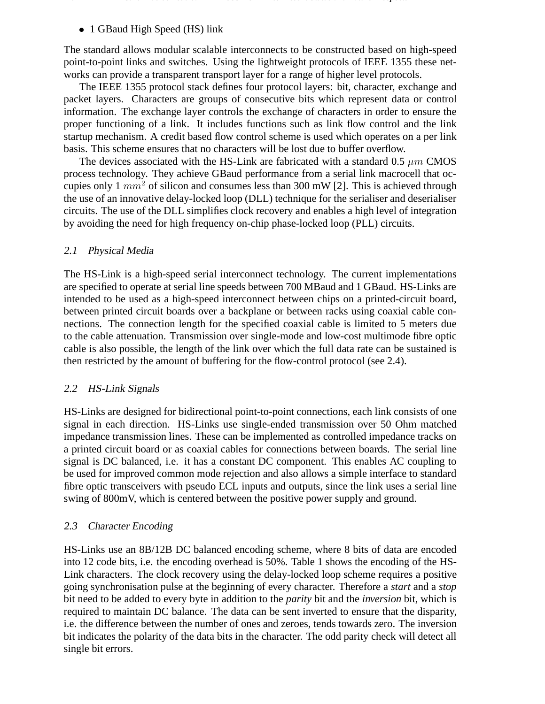# • 1 GBaud High Speed (HS) link

The standard allows modular scalable interconnects to be constructed based on high-speed point-to-point links and switches. Using the lightweight protocols of IEEE 1355 these networks can provide a transparent transport layer for a range of higher level protocols.

The IEEE 1355 protocol stack defines four protocol layers: bit, character, exchange and packet layers. Characters are groups of consecutive bits which represent data or control information. The exchange layer controls the exchange of characters in order to ensure the proper functioning of a link. It includes functions such as link flow control and the link startup mechanism. A credit based flow control scheme is used which operates on a per link basis. This scheme ensures that no characters will be lost due to buffer overflow.

The devices associated with the HS-Link are fabricated with a standard 0.5  $\mu m$  CMOS process technology. They achieve GBaud performance from a serial link macrocell that occupies only 1  $mm^2$  of silicon and consumes less than 300 mW [2]. This is achieved through the use of an innovative delay-locked loop (DLL) technique for the serialiser and deserialiser circuits. The use of the DLL simplifies clock recovery and enables a high level of integration by avoiding the need for high frequency on-chip phase-locked loop (PLL) circuits.

#### 2.1 Physical Media

The HS-Link is a high-speed serial interconnect technology. The current implementations are specified to operate at serial line speeds between 700 MBaud and 1 GBaud. HS-Links are intended to be used as a high-speed interconnect between chips on a printed-circuit board, between printed circuit boards over a backplane or between racks using coaxial cable connections. The connection length for the specified coaxial cable is limited to 5 meters due to the cable attenuation. Transmission over single-mode and low-cost multimode fibre optic cable is also possible, the length of the link over which the full data rate can be sustained is then restricted by the amount of buffering for the flow-control protocol (see 2.4).

#### 2.2 HS-Link Signals

HS-Links are designed for bidirectional point-to-point connections, each link consists of one signal in each direction. HS-Links use single-ended transmission over 50 Ohm matched impedance transmission lines. These can be implemented as controlled impedance tracks on a printed circuit board or as coaxial cables for connections between boards. The serial line signal is DC balanced, i.e. it has a constant DC component. This enables AC coupling to be used for improved common mode rejection and also allows a simple interface to standard fibre optic transceivers with pseudo ECL inputs and outputs, since the link uses a serial line swing of 800mV, which is centered between the positive power supply and ground.

# 2.3 Character Encoding

HS-Links use an 8B/12B DC balanced encoding scheme, where 8 bits of data are encoded into 12 code bits, i.e. the encoding overhead is 50%. Table 1 shows the encoding of the HS-Link characters. The clock recovery using the delay-locked loop scheme requires a positive going synchronisation pulse at the beginning of every character. Therefore a *start* and a *stop* bit need to be added to every byte in addition to the *parity* bit and the *inversion* bit, which is required to maintain DC balance. The data can be sent inverted to ensure that the disparity, i.e. the difference between the number of ones and zeroes, tends towards zero. The inversion bit indicates the polarity of the data bits in the character. The odd parity check will detect all single bit errors.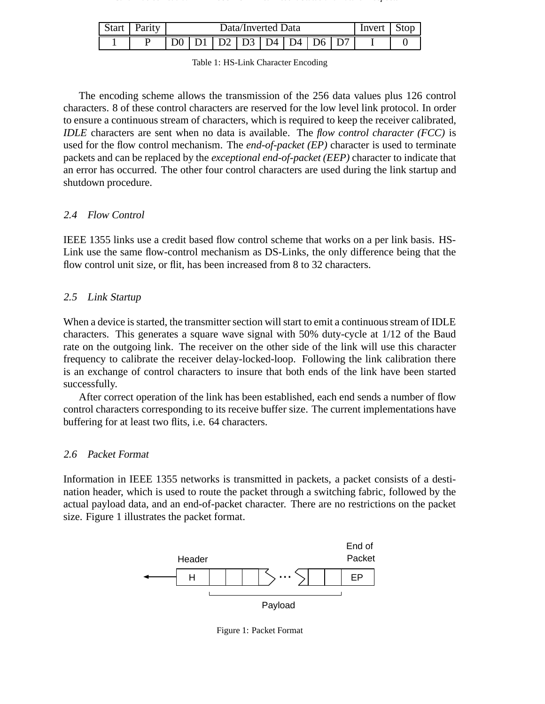|  | Start Parity | Data/Inverted Data                                                                              |  |  |  |  |  |  |  | Invert Stop |  |
|--|--------------|-------------------------------------------------------------------------------------------------|--|--|--|--|--|--|--|-------------|--|
|  |              | $\vert$ D0 $\vert$ D1 $\vert$ D2 $\vert$ D3 $\vert$ D4 $\vert$ D4 $\vert$ D6 $\vert$ D7 $\vert$ |  |  |  |  |  |  |  |             |  |

C.R.Anderson et al. / IEEE <sup>1355</sup> HS Links: Present Status and Future Prospects 71

Table 1: HS-Link Character Encoding

The encoding scheme allows the transmission of the 256 data values plus 126 control characters. 8 of these control characters are reserved for the low level link protocol. In order to ensure a continuous stream of characters, which is required to keep the receiver calibrated, *IDLE* characters are sent when no data is available. The *flow control character (FCC)* is used for the flow control mechanism. The *end-of-packet (EP)* character is used to terminate packets and can be replaced by the *exceptional end-of-packet (EEP)* character to indicate that an error has occurred. The other four control characters are used during the link startup and shutdown procedure.

# 2.4 Flow Control

IEEE 1355 links use a credit based flow control scheme that works on a per link basis. HS-Link use the same flow-control mechanism as DS-Links, the only difference being that the flow control unit size, or flit, has been increased from 8 to 32 characters.

# 2.5 Link Startup

When a device is started, the transmitter section will start to emit a continuous stream of IDLE characters. This generates a square wave signal with 50% duty-cycle at 1/12 of the Baud rate on the outgoing link. The receiver on the other side of the link will use this character frequency to calibrate the receiver delay-locked-loop. Following the link calibration there is an exchange of control characters to insure that both ends of the link have been started successfully.

After correct operation of the link has been established, each end sends a number of flow control characters corresponding to its receive buffer size. The current implementations have buffering for at least two flits, i.e. 64 characters.

# 2.6 Packet Format

Information in IEEE 1355 networks is transmitted in packets, a packet consists of a destination header, which is used to route the packet through a switching fabric, followed by the actual payload data, and an end-of-packet character. There are no restrictions on the packet size. Figure 1 illustrates the packet format.



Figure 1: Packet Format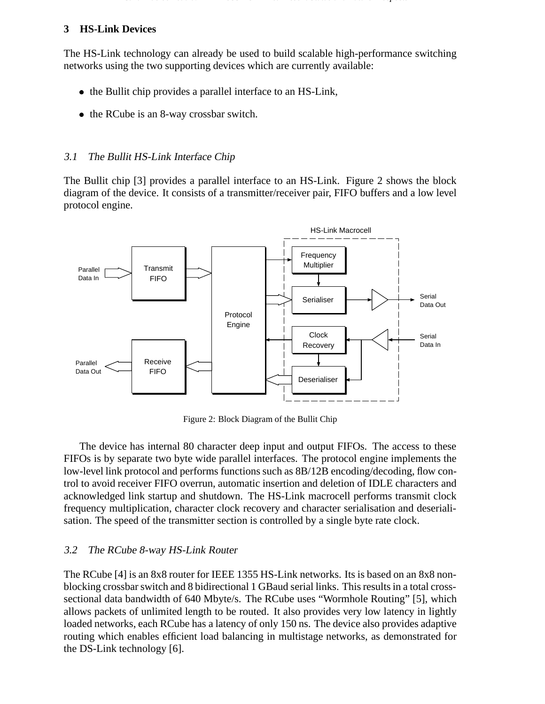# **3 HS-Link Devices**

The HS-Link technology can already be used to build scalable high-performance switching networks using the two supporting devices which are currently available:

- the Bullit chip provides a parallel interface to an HS-Link,
- the RCube is an 8-way crossbar switch.

# 3.1 The Bullit HS-Link Interface Chip

The Bullit chip [3] provides a parallel interface to an HS-Link. Figure 2 shows the block diagram of the device. It consists of a transmitter/receiver pair, FIFO buffers and a low level protocol engine.



Figure 2: Block Diagram of the Bullit Chip

The device has internal 80 character deep input and output FIFOs. The access to these FIFOs is by separate two byte wide parallel interfaces. The protocol engine implements the low-level link protocol and performs functions such as 8B/12B encoding/decoding, flow control to avoid receiver FIFO overrun, automatic insertion and deletion of IDLE characters and acknowledged link startup and shutdown. The HS-Link macrocell performs transmit clock frequency multiplication, character clock recovery and character serialisation and deserialisation. The speed of the transmitter section is controlled by a single byte rate clock.

# 3.2 The RCube 8-way HS-Link Router

The RCube [4] is an 8x8 router for IEEE 1355 HS-Link networks. Its is based on an 8x8 nonblocking crossbar switch and 8 bidirectional 1 GBaud serial links. This results in a total crosssectional data bandwidth of 640 Mbyte/s. The RCube uses "Wormhole Routing" [5], which allows packets of unlimited length to be routed. It also provides very low latency in lightly loaded networks, each RCube has a latency of only 150 ns. The device also provides adaptive routing which enables efficient load balancing in multistage networks, as demonstrated for the DS-Link technology [6].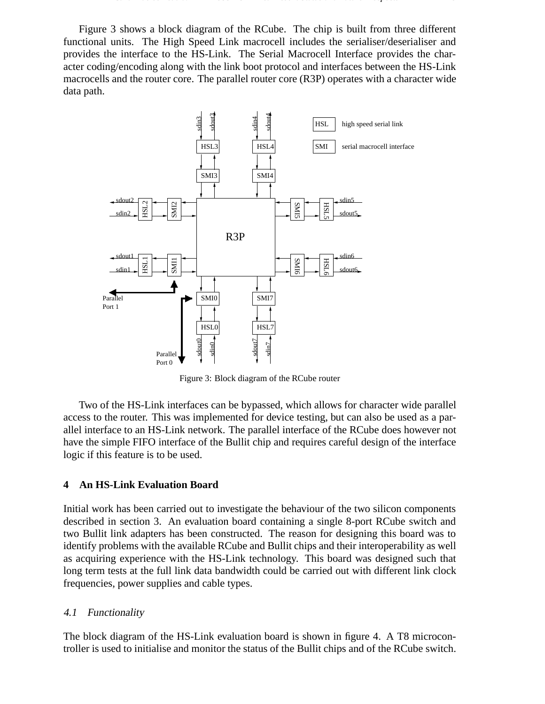Figure 3 shows a block diagram of the RCube. The chip is built from three different functional units. The High Speed Link macrocell includes the serialiser/deserialiser and provides the interface to the HS-Link. The Serial Macrocell Interface provides the character coding/encoding along with the link boot protocol and interfaces between the HS-Link macrocells and the router core. The parallel router core (R3P) operates with a character wide data path.



Figure 3: Block diagram of the RCube router

Two of the HS-Link interfaces can be bypassed, which allows for character wide parallel access to the router. This was implemented for device testing, but can also be used as a parallel interface to an HS-Link network. The parallel interface of the RCube does however not have the simple FIFO interface of the Bullit chip and requires careful design of the interface logic if this feature is to be used.

#### **4 An HS-Link Evaluation Board**

Initial work has been carried out to investigate the behaviour of the two silicon components described in section 3. An evaluation board containing a single 8-port RCube switch and two Bullit link adapters has been constructed. The reason for designing this board was to identify problems with the available RCube and Bullit chips and their interoperability as well as acquiring experience with the HS-Link technology. This board was designed such that long term tests at the full link data bandwidth could be carried out with different link clock frequencies, power supplies and cable types.

#### 4.1 Functionality

The block diagram of the HS-Link evaluation board is shown in figure 4. A T8 microcontroller is used to initialise and monitor the status of the Bullit chips and of the RCube switch.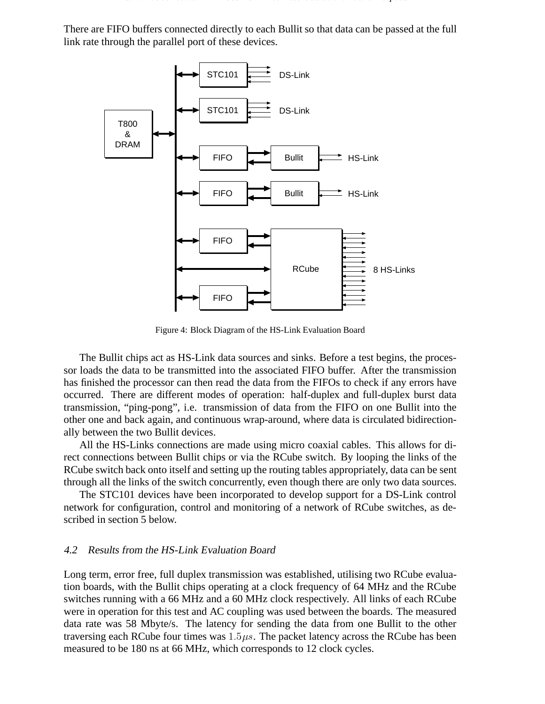There are FIFO buffers connected directly to each Bullit so that data can be passed at the full link rate through the parallel port of these devices.



Figure 4: Block Diagram of the HS-Link Evaluation Board

The Bullit chips act as HS-Link data sources and sinks. Before a test begins, the processor loads the data to be transmitted into the associated FIFO buffer. After the transmission has finished the processor can then read the data from the FIFOs to check if any errors have occurred. There are different modes of operation: half-duplex and full-duplex burst data transmission, "ping-pong", i.e. transmission of data from the FIFO on one Bullit into the other one and back again, and continuous wrap-around, where data is circulated bidirectionally between the two Bullit devices.

All the HS-Links connections are made using micro coaxial cables. This allows for direct connections between Bullit chips or via the RCube switch. By looping the links of the RCube switch back onto itself and setting up the routing tables appropriately, data can be sent through all the links of the switch concurrently, even though there are only two data sources.

The STC101 devices have been incorporated to develop support for a DS-Link control network for configuration, control and monitoring of a network of RCube switches, as described in section 5 below.

#### 4.2 Results from the HS-Link Evaluation Board

Long term, error free, full duplex transmission was established, utilising two RCube evaluation boards, with the Bullit chips operating at a clock frequency of 64 MHz and the RCube switches running with a 66 MHz and a 60 MHz clock respectively. All links of each RCube were in operation for this test and AC coupling was used between the boards. The measured data rate was 58 Mbyte/s. The latency for sending the data from one Bullit to the other traversing each RCube four times was  $1.5\mu s$ . The packet latency across the RCube has been measured to be 180 ns at 66 MHz, which corresponds to 12 clock cycles.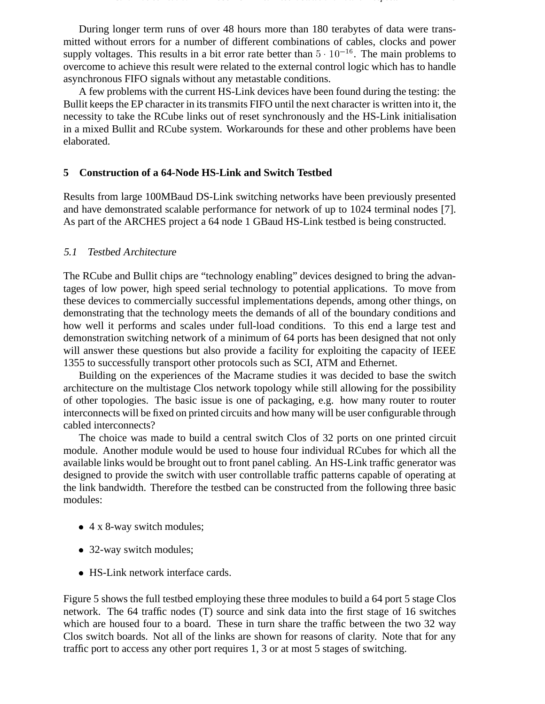During longer term runs of over 48 hours more than 180 terabytes of data were transmitted without errors for a number of different combinations of cables, clocks and power supply voltages. This results in a bit error rate better than  $5 \cdot 10^{-16}$ . The main problems to overcome to achieve this result were related to the external control logic which has to handle asynchronous FIFO signals without any metastable conditions.

A few problems with the current HS-Link devices have been found during the testing: the Bullit keeps the EP character in its transmits FIFO until the next character is written into it, the necessity to take the RCube links out of reset synchronously and the HS-Link initialisation in a mixed Bullit and RCube system. Workarounds for these and other problems have been elaborated.

#### **5 Construction of a 64-Node HS-Link and Switch Testbed**

Results from large 100MBaud DS-Link switching networks have been previously presented and have demonstrated scalable performance for network of up to 1024 terminal nodes [7]. As part of the ARCHES project a 64 node 1 GBaud HS-Link testbed is being constructed.

## 5.1 Testbed Architecture

The RCube and Bullit chips are "technology enabling" devices designed to bring the advantages of low power, high speed serial technology to potential applications. To move from these devices to commercially successful implementations depends, among other things, on demonstrating that the technology meets the demands of all of the boundary conditions and how well it performs and scales under full-load conditions. To this end a large test and demonstration switching network of a minimum of 64 ports has been designed that not only will answer these questions but also provide a facility for exploiting the capacity of IEEE 1355 to successfully transport other protocols such as SCI, ATM and Ethernet.

Building on the experiences of the Macrame studies it was decided to base the switch architecture on the multistage Clos network topology while still allowing for the possibility of other topologies. The basic issue is one of packaging, e.g. how many router to router interconnects will be fixed on printed circuits and how many will be user configurable through cabled interconnects?

The choice was made to build a central switch Clos of 32 ports on one printed circuit module. Another module would be used to house four individual RCubes for which all the available links would be brought out to front panel cabling. An HS-Link traffic generator was designed to provide the switch with user controllable traffic patterns capable of operating at the link bandwidth. Therefore the testbed can be constructed from the following three basic modules:

- 4 x 8-way switch modules;
- 32-way switch modules;
- HS-Link network interface cards.

Figure 5 shows the full testbed employing these three modules to build a 64 port 5 stage Clos network. The 64 traffic nodes (T) source and sink data into the first stage of 16 switches which are housed four to a board. These in turn share the traffic between the two 32 way Clos switch boards. Not all of the links are shown for reasons of clarity. Note that for any traffic port to access any other port requires 1, 3 or at most 5 stages of switching.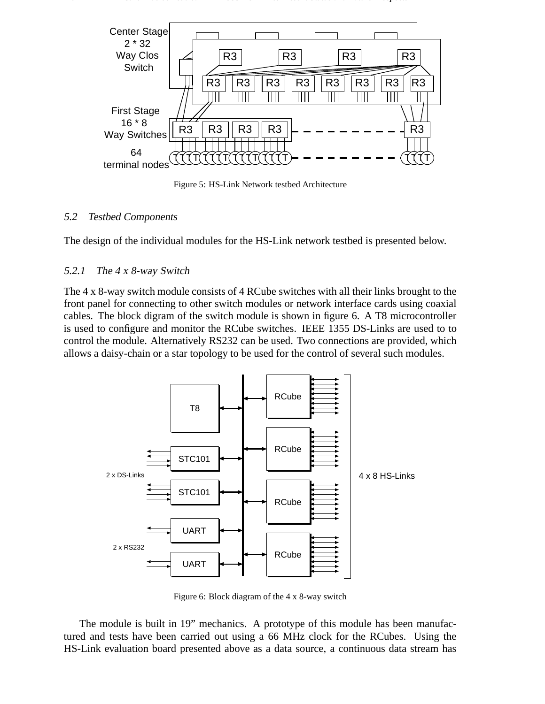

Figure 5: HS-Link Network testbed Architecture

### 5.2 Testbed Components

The design of the individual modules for the HS-Link network testbed is presented below.

# 5.2.1 The 4 <sup>x</sup> 8-way Switch

The 4 x 8-way switch module consists of 4 RCube switches with all their links brought to the front panel for connecting to other switch modules or network interface cards using coaxial cables. The block digram of the switch module is shown in figure 6. A T8 microcontroller is used to configure and monitor the RCube switches. IEEE 1355 DS-Links are used to to control the module. Alternatively RS232 can be used. Two connections are provided, which allows a daisy-chain or a star topology to be used for the control of several such modules.



Figure 6: Block diagram of the 4 x 8-way switch

The module is built in 19" mechanics. A prototype of this module has been manufactured and tests have been carried out using a 66 MHz clock for the RCubes. Using the HS-Link evaluation board presented above as a data source, a continuous data stream has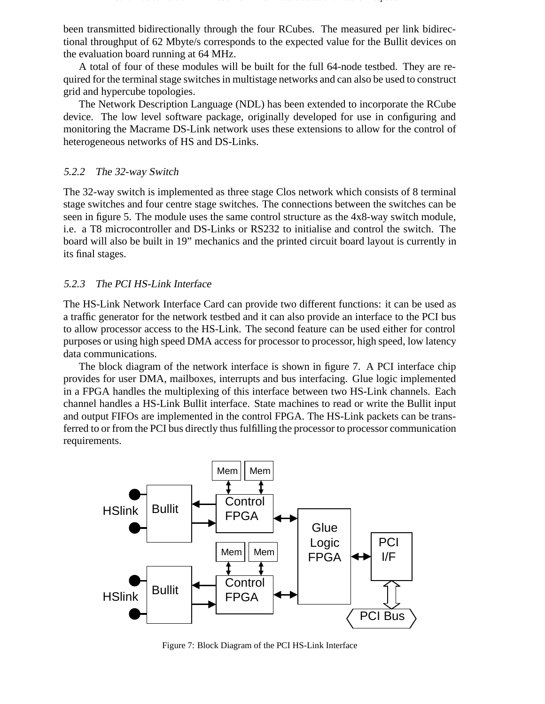been transmitted bidirectionally through the four RCubes. The measured per link bidirectional throughput of 62 Mbyte/s corresponds to the expected value for the Bullit devices on the evaluation board running at 64 MHz.

A total of four of these modules will be built for the full 64-node testbed. They are required for the terminal stage switches in multistage networks and can also be used to construct grid and hypercube topologies.

The Network Description Language (NDL) has been extended to incorporate the RCube device. The low level software package, originally developed for use in configuring and monitoring the Macrame DS-Link network uses these extensions to allow for the control of heterogeneous networks of HS and DS-Links.

#### 5.2.2 The 32-way Switch

The 32-way switch is implemented as three stage Clos network which consists of 8 terminal stage switches and four centre stage switches. The connections between the switches can be seen in figure 5. The module uses the same control structure as the 4x8-way switch module, i.e. a T8 microcontroller and DS-Links or RS232 to initialise and control the switch. The board will also be built in 19" mechanics and the printed circuit board layout is currently in its final stages.

#### 5.2.3 The PCI HS-Link Interface

The HS-Link Network Interface Card can provide two different functions: it can be used as a traffic generator for the network testbed and it can also provide an interface to the PCI bus to allow processor access to the HS-Link. The second feature can be used either for control purposes or using high speed DMA access for processor to processor, high speed, low latency data communications.

The block diagram of the network interface is shown in figure 7. A PCI interface chip provides for user DMA, mailboxes, interrupts and bus interfacing. Glue logic implemented in a FPGA handles the multiplexing of this interface between two HS-Link channels. Each channel handles a HS-Link Bullit interface. State machines to read or write the Bullit input and output FIFOs are implemented in the control FPGA. The HS-Link packets can be transferred to or from the PCI bus directly thus fulfilling the processor to processor communication requirements.



Figure 7: Block Diagram of the PCI HS-Link Interface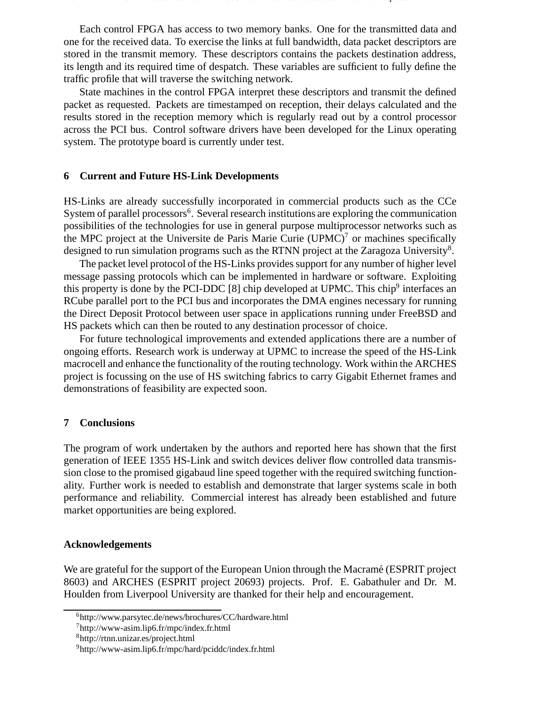Each control FPGA has access to two memory banks. One for the transmitted data and one for the received data. To exercise the links at full bandwidth, data packet descriptors are stored in the transmit memory. These descriptors contains the packets destination address, its length and its required time of despatch. These variables are sufficient to fully define the traffic profile that will traverse the switching network.

State machines in the control FPGA interpret these descriptors and transmit the defined packet as requested. Packets are timestamped on reception, their delays calculated and the results stored in the reception memory which is regularly read out by a control processor across the PCI bus. Control software drivers have been developed for the Linux operating system. The prototype board is currently under test.

#### **6 Current and Future HS-Link Developments**

HS-Links are already successfully incorporated in commercial products such as the CCe System of parallel processors<sup>6</sup>. Several research institutions are exploring the communication possibilities of the technologies for use in general purpose multiprocessor networks such as the MPC project at the Universite de Paris Marie Curie  $(UPMC)^7$  or machines specifically designed to run simulation programs such as the RTNN project at the Zaragoza University<sup>8</sup>.

The packet level protocol of the HS-Links provides support for any number of higher level message passing protocols which can be implemented in hardware or software. Exploiting this property is done by the PCI-DDC  $[8]$  chip developed at UPMC. This chip<sup>9</sup> interfaces an RCube parallel port to the PCI bus and incorporates the DMA engines necessary for running the Direct Deposit Protocol between user space in applications running under FreeBSD and HS packets which can then be routed to any destination processor of choice.

For future technological improvements and extended applications there are a number of ongoing efforts. Research work is underway at UPMC to increase the speed of the HS-Link macrocell and enhance the functionality of the routing technology. Work within the ARCHES project is focussing on the use of HS switching fabrics to carry Gigabit Ethernet frames and demonstrations of feasibility are expected soon.

#### **7 Conclusions**

The program of work undertaken by the authors and reported here has shown that the first generation of IEEE 1355 HS-Link and switch devices deliver flow controlled data transmission close to the promised gigabaud line speed together with the required switching functionality. Further work is needed to establish and demonstrate that larger systems scale in both performance and reliability. Commercial interest has already been established and future market opportunities are being explored.

#### **Acknowledgements**

We are grateful for the support of the European Union through the Macramé (ESPRIT project 8603) and ARCHES (ESPRIT project 20693) projects. Prof. E. Gabathuler and Dr. M. Houlden from Liverpool University are thanked for their help and encouragement.

<sup>6</sup>http://www.parsytec.de/news/brochures/CC/hardware.html

 $<sup>7</sup>$ http://www-asim.lip6.fr/mpc/index.fr.html</sup>

<sup>8</sup>http://rtnn.unizar.es/project.html

<sup>9</sup>http://www-asim.lip6.fr/mpc/hard/pciddc/index.fr.html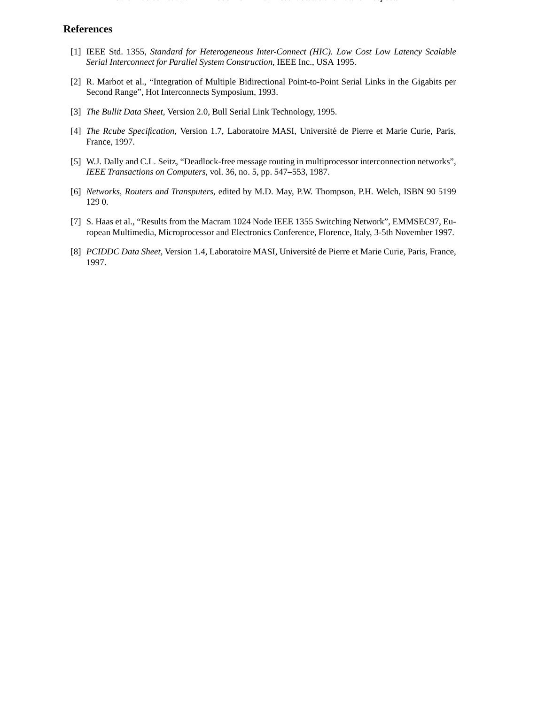## **References**

[1] IEEE Std. 1355, *Standard for Heterogeneous Inter-Connect (HIC). Low Cost Low Latency Scalable Serial Interconnect for Parallel System Construction*, IEEE Inc., USA 1995.

C.R.Anderson et al. / IEEE <sup>1355</sup> HS Links: Present Status and Future Prospects 79

- [2] R. Marbot et al., "Integration of Multiple Bidirectional Point-to-Point Serial Links in the Gigabits per Second Range", Hot Interconnects Symposium, 1993.
- [3] *The Bullit Data Sheet*, Version 2.0, Bull Serial Link Technology, 1995.
- [4] *The Rcube Specification*, Version 1.7, Laboratoire MASI, Université de Pierre et Marie Curie, Paris, France, 1997.
- [5] W.J. Dally and C.L. Seitz, "Deadlock-free message routing in multiprocessor interconnection networks", *IEEE Transactions on Computers*, vol. 36, no. 5, pp. 547–553, 1987.
- [6] *Networks, Routers and Transputers*, edited by M.D. May, P.W. Thompson, P.H. Welch, ISBN 90 5199 129 0.
- [7] S. Haas et al., "Results from the Macram 1024 Node IEEE 1355 Switching Network", EMMSEC97, European Multimedia, Microprocessor and Electronics Conference, Florence, Italy, 3-5th November 1997.
- [8] *PCIDDC Data Sheet*, Version 1.4, Laboratoire MASI, Université de Pierre et Marie Curie, Paris, France, 1997.